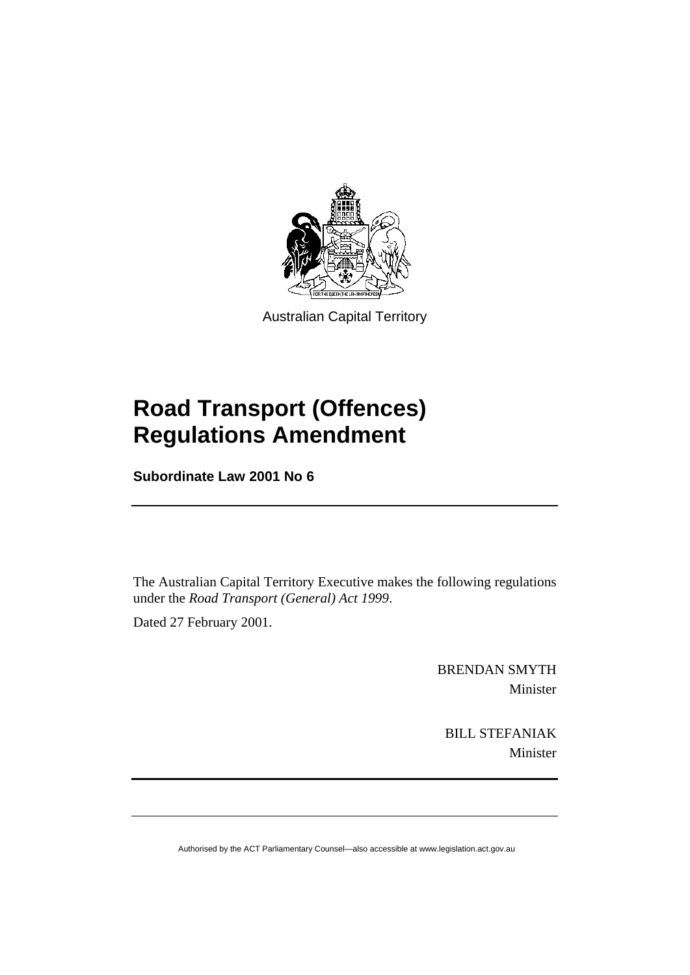

Australian Capital Territory

# **Road Transport (Offences) Regulations Amendment**

**Subordinate Law 2001 No 6** 

The Australian Capital Territory Executive makes the following regulations under the *Road Transport (General) Act 1999*.

Dated 27 February 2001.

BRENDAN SMYTH Minister

BILL STEFANIAK Minister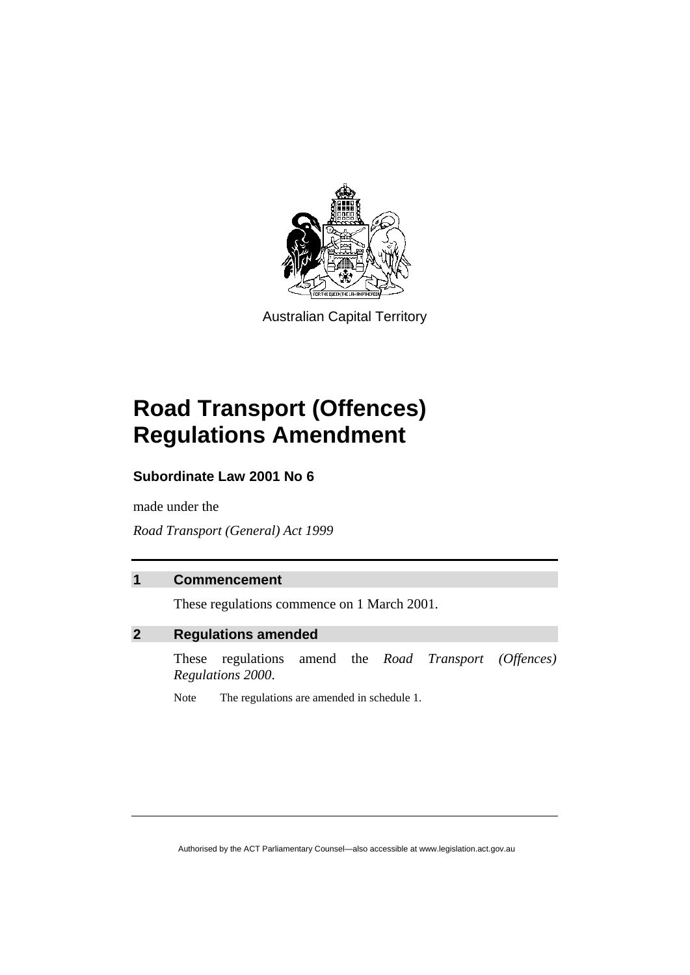

Australian Capital Territory

# **Road Transport (Offences) Regulations Amendment**

### **Subordinate Law 2001 No 6**

made under the

*Road Transport (General) Act 1999* 

### **1 Commencement**

These regulations commence on 1 March 2001.

### **2 Regulations amended**

These regulations amend the *Road Transport (Offences) Regulations 2000*.

Note The regulations are amended in schedule 1.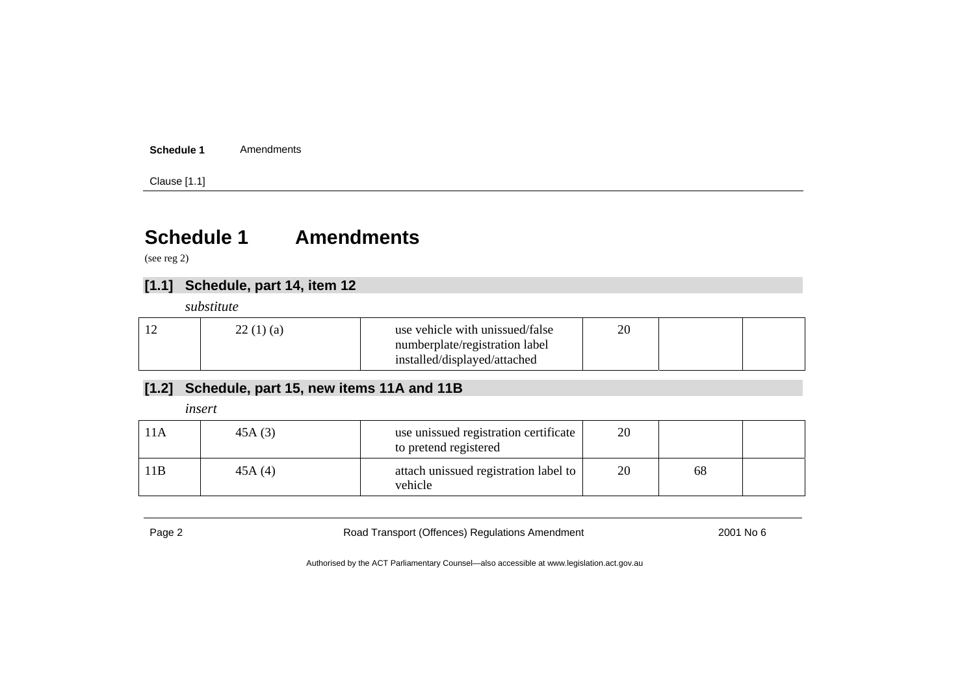#### **Schedule 1**Amendments

Clause [1.1]

## **Schedule 1 Amendments**

(see reg 2)

### **[1.1] Schedule, part 14, item 12**

*substitute* 

| 22(1)(a) | use vehicle with unissued/false | 20 |  |
|----------|---------------------------------|----|--|
|          | numberplate/registration label  |    |  |
|          | installed/displayed/attached    |    |  |

### **[1.2] Schedule, part 15, new items 11A and 11B**

*insert* 

| l 1 A | 45A(3) | use unissued registration certificate<br>to pretend registered | 20 |    |  |
|-------|--------|----------------------------------------------------------------|----|----|--|
| 11B   | 45A(4) | attach unissued registration label to<br>vehicle               | 20 | 68 |  |

Page 2 **Road Transport (Offences) Regulations Amendment** 2001 No 6 Capace 2